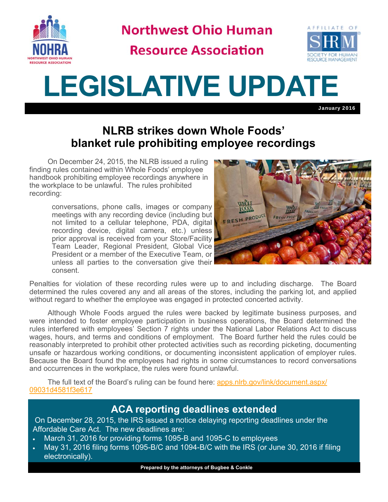

**Northwest Ohio Human** 

**Resource Association** 



## **LEGISLATIVE UPDATE**

January 2016

## **NLRB strikes down Whole Foods' blanket rule prohibiting employee recordings**

On December 24, 2015, the NLRB issued a ruling finding rules contained within Whole Foods' employee handbook prohibiting employee recordings anywhere in the workplace to be unlawful. The rules prohibited recording:

> conversations, phone calls, images or company meetings with any recording device (including but not limited to a cellular telephone, PDA, digital recording device, digital camera, etc.) unless prior approval is received from your Store/Facility Team Leader, Regional President, Global Vice President or a member of the Executive Team, or unless all parties to the conversation give their consent.



Penalties for violation of these recording rules were up to and including discharge. The Board determined the rules covered any and all areas of the stores, including the parking lot, and applied without regard to whether the employee was engaged in protected concerted activity.

 Although Whole Foods argued the rules were backed by legitimate business purposes, and were intended to foster employee participation in business operations, the Board determined the rules interfered with employees' Section 7 rights under the National Labor Relations Act to discuss wages, hours, and terms and conditions of employment. The Board further held the rules could be reasonably interpreted to prohibit other protected activities such as recording picketing, documenting unsafe or hazardous working conditions, or documenting inconsistent application of employer rules. Because the Board found the employees had rights in some circumstances to record conversations and occurrences in the workplace, the rules were found unlawful.

The full text of the Board's ruling can be found here: apps.nlrb.gov/link/document.aspx/ 09031d4581f3e617

## **ACA reporting deadlines extended**

 On December 28, 2015, the IRS issued a notice delaying reporting deadlines under the Affordable Care Act. The new deadlines are:

- March 31, 2016 for providing forms 1095-B and 1095-C to employees
- May 31, 2016 filing forms 1095-B/C and 1094-B/C with the IRS (or June 30, 2016 if filing electronically).